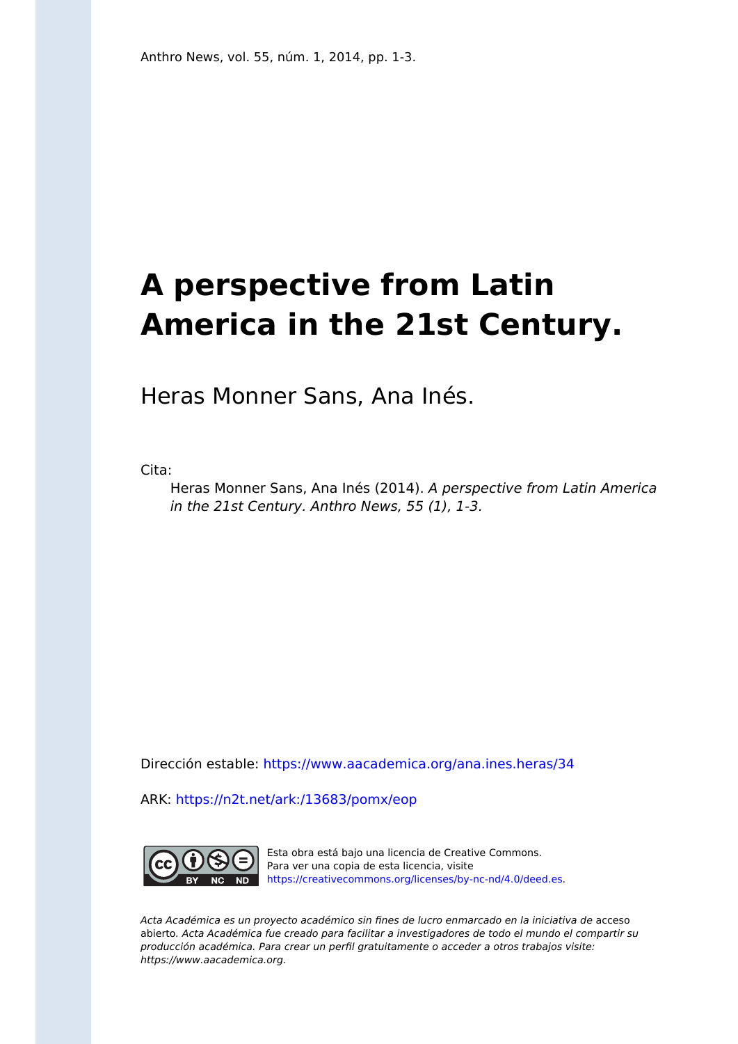## **A perspective from Latin America in the 21st Century.**

Heras Monner Sans, Ana Inés.

Cita:

Heras Monner Sans, Ana Inés (2014). A perspective from Latin America in the 21st Century. Anthro News, 55 (1), 1-3.

Dirección estable:<https://www.aacademica.org/ana.ines.heras/34>

ARK: <https://n2t.net/ark:/13683/pomx/eop>



Esta obra está bajo una licencia de Creative Commons. Para ver una copia de esta licencia, visite [https://creativecommons.org/licenses/by-nc-nd/4.0/deed.es.](https://creativecommons.org/licenses/by-nc-nd/4.0/deed.es)

Acta Académica es un proyecto académico sin fines de lucro enmarcado en la iniciativa de acceso abierto. Acta Académica fue creado para facilitar a investigadores de todo el mundo el compartir su producción académica. Para crear un perfil gratuitamente o acceder a otros trabajos visite: https://www.aacademica.org.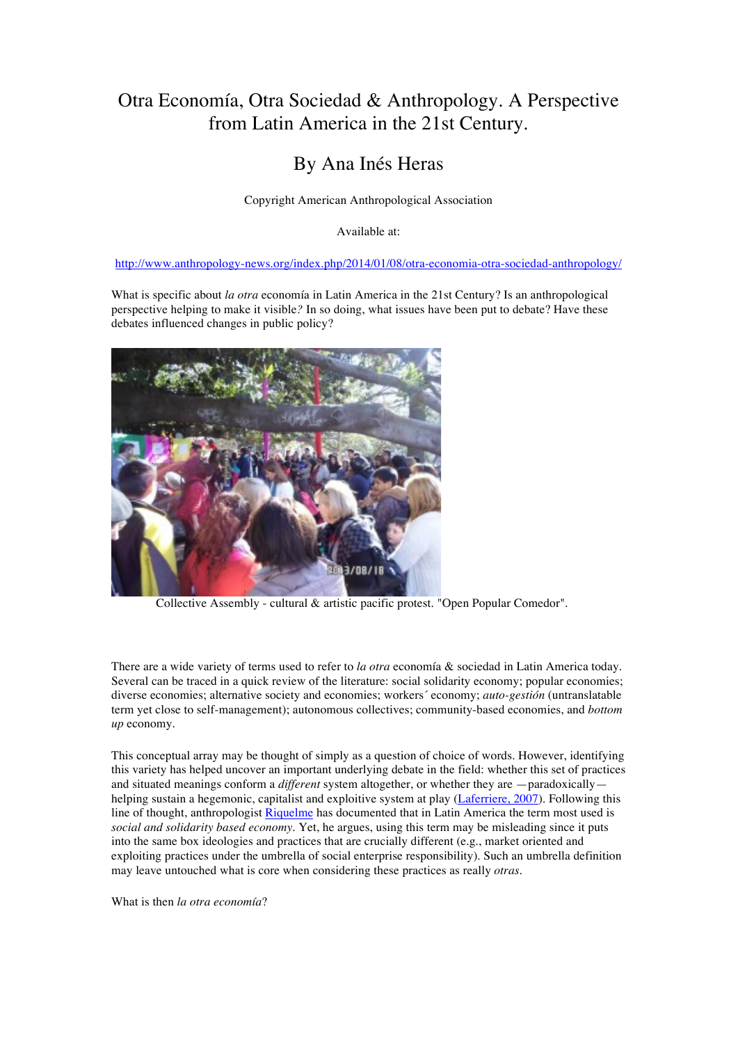## Otra Economía, Otra Sociedad & Anthropology. A Perspective from Latin America in the 21st Century.

## By Ana Inés Heras

Copyright American Anthropological Association

Available at:

## http://www.anthropology-news.org/index.php/2014/01/08/otra-economia-otra-sociedad-anthropology/

What is specific about *la otra* economía in Latin America in the 21st Century? Is an anthropological perspective helping to make it visible*?* In so doing, what issues have been put to debate? Have these debates influenced changes in public policy?



Collective Assembly - cultural & artistic pacific protest. "Open Popular Comedor".

There are a wide variety of terms used to refer to *la otra* economía & sociedad in Latin America today. Several can be traced in a quick review of the literature: social solidarity economy; popular economies; diverse economies; alternative society and economies; workers´ economy; *auto-gestión* (untranslatable term yet close to self-management); autonomous collectives; community-based economies, and *bottom up* economy.

This conceptual array may be thought of simply as a question of choice of words. However, identifying this variety has helped uncover an important underlying debate in the field: whether this set of practices and situated meanings conform a *different* system altogether, or whether they are —paradoxically helping sustain a hegemonic, capitalist and exploitive system at play (Laferriere, 2007). Following this line of thought, anthropologist Riquelme has documented that in Latin America the term most used is *social and solidarity based economy*. Yet, he argues, using this term may be misleading since it puts into the same box ideologies and practices that are crucially different (e.g., market oriented and exploiting practices under the umbrella of social enterprise responsibility). Such an umbrella definition may leave untouched what is core when considering these practices as really *otras.*

What is then *la otra economía*?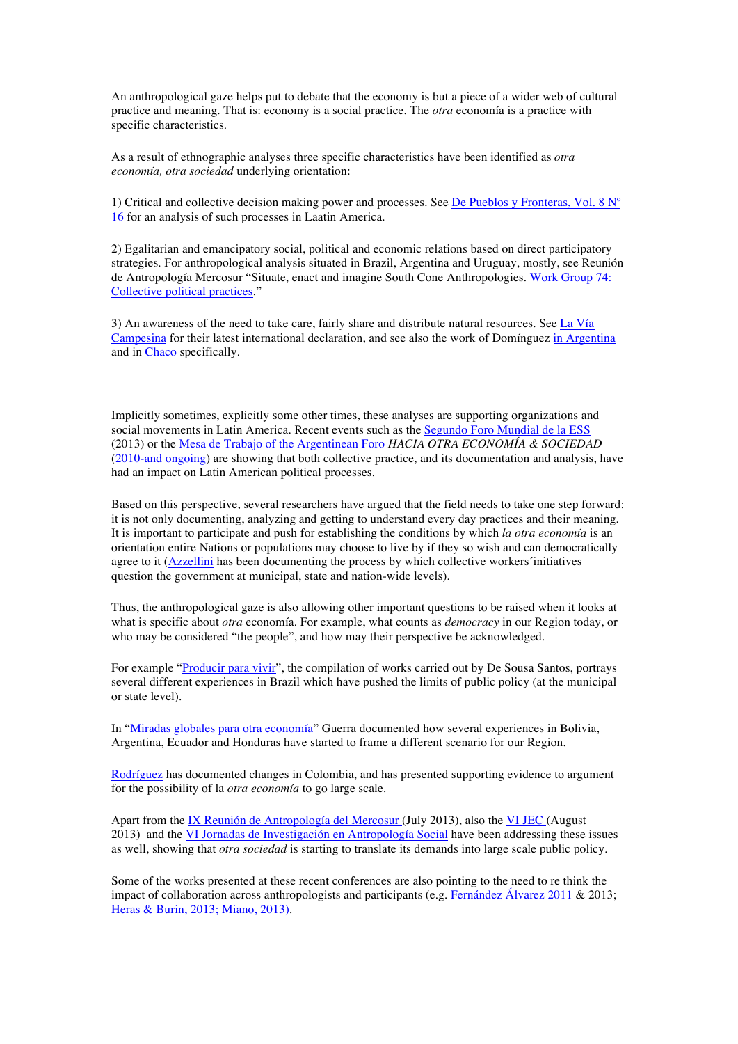An anthropological gaze helps put to debate that the economy is but a piece of a wider web of cultural practice and meaning. That is: economy is a social practice. The *otra* economía is a practice with specific characteristics.

As a result of ethnographic analyses three specific characteristics have been identified as *otra economía, otra sociedad* underlying orientation:

1) Critical and collective decision making power and processes. See De Pueblos y Fronteras, Vol. 8  $N^{\circ}$ 16 for an analysis of such processes in Laatin America.

2) Egalitarian and emancipatory social, political and economic relations based on direct participatory strategies. For anthropological analysis situated in Brazil, Argentina and Uruguay, mostly, see Reunión de Antropología Mercosur "Situate, enact and imagine South Cone Anthropologies. Work Group 74: Collective political practices."

3) An awareness of the need to take care, fairly share and distribute natural resources. See La Vía Campesina for their latest international declaration, and see also the work of Domínguez in Argentina and in Chaco specifically.

Implicitly sometimes, explicitly some other times, these analyses are supporting organizations and social movements in Latin America. Recent events such as the Segundo Foro Mundial de la ESS (2013) or the Mesa de Trabajo of the Argentinean Foro *HACIA OTRA ECONOMÍA & SOCIEDAD* (2010-and ongoing) are showing that both collective practice, and its documentation and analysis, have had an impact on Latin American political processes.

Based on this perspective, several researchers have argued that the field needs to take one step forward: it is not only documenting, analyzing and getting to understand every day practices and their meaning. It is important to participate and push for establishing the conditions by which *la otra economía* is an orientation entire Nations or populations may choose to live by if they so wish and can democratically agree to it (Azzellini has been documenting the process by which collective workers'initiatives question the government at municipal, state and nation-wide levels).

Thus, the anthropological gaze is also allowing other important questions to be raised when it looks at what is specific about *otra* economía. For example, what counts as *democracy* in our Region today, or who may be considered "the people", and how may their perspective be acknowledged.

For example "Producir para vivir", the compilation of works carried out by De Sousa Santos, portrays several different experiences in Brazil which have pushed the limits of public policy (at the municipal or state level).

In "Miradas globales para otra economía" Guerra documented how several experiences in Bolivia, Argentina, Ecuador and Honduras have started to frame a different scenario for our Region.

Rodríguez has documented changes in Colombia, and has presented supporting evidence to argument for the possibility of la *otra economía* to go large scale.

Apart from the IX Reunión de Antropología del Mercosur (July 2013), also the VI JEC (August 2013) and the VI Jornadas de Investigación en Antropología Social have been addressing these issues as well, showing that *otra sociedad* is starting to translate its demands into large scale public policy.

Some of the works presented at these recent conferences are also pointing to the need to re think the impact of collaboration across anthropologists and participants (e.g. Fernández Álvarez 2011 & 2013; Heras & Burin, 2013; Miano, 2013).